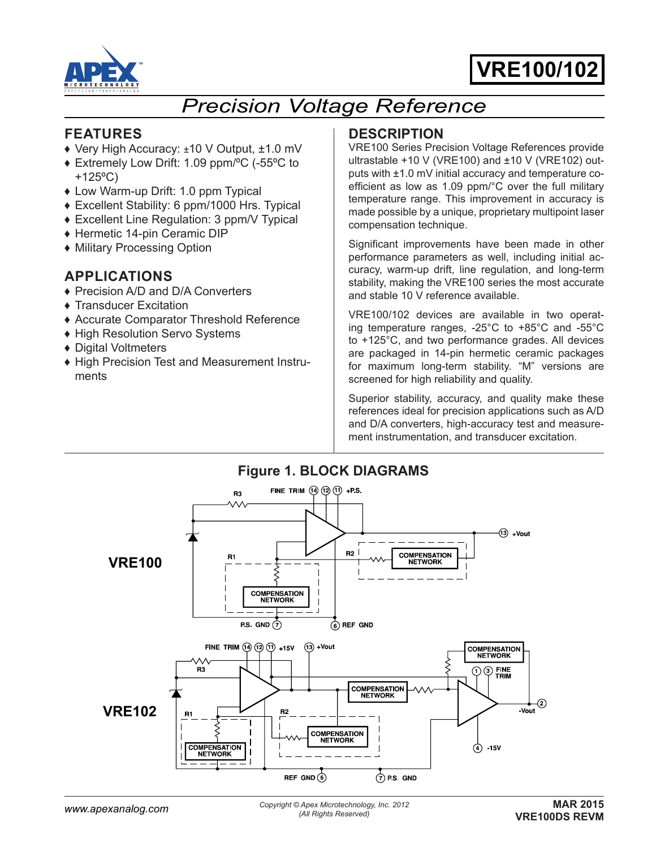

# **VRE100 VRE100/102**

## *Precision Voltage Reference*

## **FEATURES**

- ♦ Very High Accuracy: ±10 V Output, ±1.0 mV
- ♦ Extremely Low Drift: 1.09 ppm/ºC (-55ºC to +125ºC)
- ♦ Low Warm-up Drift: 1.0 ppm Typical
- ♦ Excellent Stability: 6 ppm/1000 Hrs. Typical
- ♦ Excellent Line Regulation: 3 ppm/V Typical
- ♦ Hermetic 14-pin Ceramic DIP
- ♦ Military Processing Option

## **APPLICATIONS**

- ♦ Precision A/D and D/A Converters
- ♦ Transducer Excitation
- ♦ Accurate Comparator Threshold Reference
- ♦ High Resolution Servo Systems
- ♦ Digital Voltmeters
- ♦ High Precision Test and Measurement Instruments

## **DESCRIPTION**

VRE100 Series Precision Voltage References provide ultrastable +10 V (VRE100) and ±10 V (VRE102) outputs with ±1.0 mV initial accuracy and temperature coefficient as low as 1.09 ppm/°C over the full military temperature range. This improvement in accuracy is made possible by a unique, proprietary multipoint laser compensation technique.

Significant improvements have been made in other performance parameters as well, including initial accuracy, warm-up drift, line regulation, and long-term stability, making the VRE100 series the most accurate and stable 10 V reference available.

VRE100/102 devices are available in two operating temperature ranges, -25°C to +85°C and -55°C to +125°C, and two performance grades. All devices are packaged in 14-pin hermetic ceramic packages for maximum long-term stability. "M" versions are screened for high reliability and quality.

Superior stability, accuracy, and quality make these references ideal for precision applications such as A/D and D/A converters, high-accuracy test and measurement instrumentation, and transducer excitation.

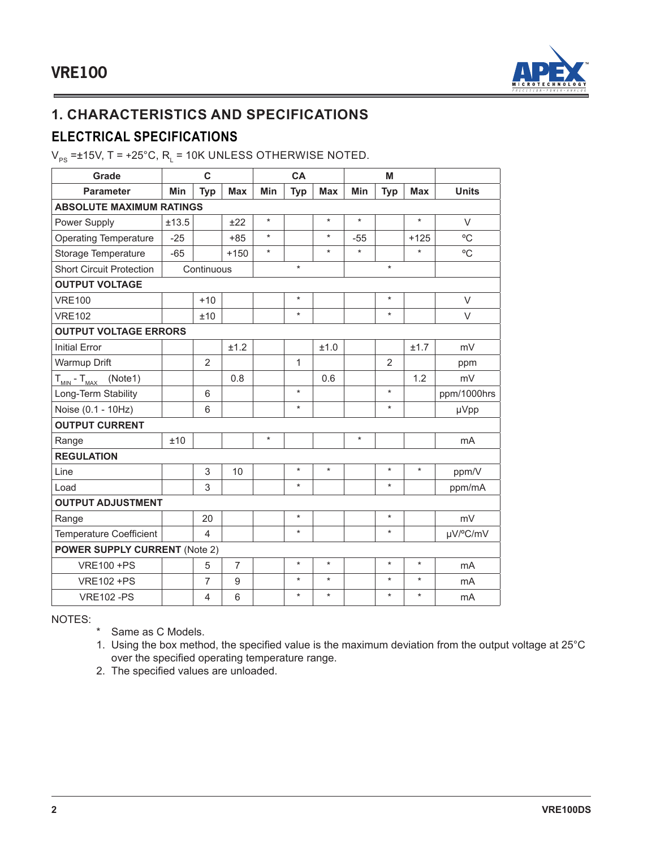

## **1. CHARACTERISTICS AND SPECIFICATIONS**

## **ELECTRICAL SPECIFICATIONS**

 $\rm V_{PS}$ =±15V, T = +25°C, R $_{\rm L}$  = 10K UNLESS OTHERWISE NOTED.

| Grade                                          |       | C              |                |         | CA         |            |         | M              |            |              |
|------------------------------------------------|-------|----------------|----------------|---------|------------|------------|---------|----------------|------------|--------------|
| <b>Parameter</b>                               | Min   | <b>Typ</b>     | <b>Max</b>     | Min     | <b>Typ</b> | <b>Max</b> | Min     | <b>Typ</b>     | <b>Max</b> | <b>Units</b> |
| <b>ABSOLUTE MAXIMUM RATINGS</b>                |       |                |                |         |            |            |         |                |            |              |
| Power Supply                                   | ±13.5 |                | ±22            | $\star$ |            | $\star$    | $\star$ |                | $\star$    | $\vee$       |
| <b>Operating Temperature</b>                   | $-25$ |                | $+85$          | $\star$ |            | $\star$    | $-55$   |                | $+125$     | °C           |
| Storage Temperature                            | $-65$ |                | $+150$         | $\star$ |            | $\star$    | $\star$ |                | $\star$    | °C           |
| <b>Short Circuit Protection</b>                |       | Continuous     |                |         | $\star$    |            |         | $\star$        |            |              |
| <b>OUTPUT VOLTAGE</b>                          |       |                |                |         |            |            |         |                |            |              |
| <b>VRE100</b>                                  |       | $+10$          |                |         | $\star$    |            |         | $\star$        |            | $\vee$       |
| <b>VRE102</b>                                  |       | ±10            |                |         | $\star$    |            |         | $\star$        |            | V            |
| <b>OUTPUT VOLTAGE ERRORS</b>                   |       |                |                |         |            |            |         |                |            |              |
| <b>Initial Error</b>                           |       |                | ±1.2           |         |            | ±1.0       |         |                | ±1.7       | mV           |
| Warmup Drift                                   |       | $\overline{2}$ |                |         | 1          |            |         | $\overline{2}$ |            | ppm          |
| (Note1)<br>$T_{\text{MIN}}$ - $T_{\text{MAX}}$ |       |                | 0.8            |         |            | 0.6        |         |                | 1.2        | mV           |
| Long-Term Stability                            |       | 6              |                |         | $\star$    |            |         | $\star$        |            | ppm/1000hrs  |
| Noise (0.1 - 10Hz)                             |       | 6              |                |         | $\star$    |            |         | $\star$        |            | µVpp         |
| <b>OUTPUT CURRENT</b>                          |       |                |                |         |            |            |         |                |            |              |
| Range                                          | ±10   |                |                | $\star$ |            |            | $\star$ |                |            | mA           |
| <b>REGULATION</b>                              |       |                |                |         |            |            |         |                |            |              |
| Line                                           |       | 3              | 10             |         | $\star$    | $\star$    |         | $\star$        | $\star$    | ppm/V        |
| Load                                           |       | 3              |                |         | $\star$    |            |         | $\star$        |            | ppm/mA       |
| <b>OUTPUT ADJUSTMENT</b>                       |       |                |                |         |            |            |         |                |            |              |
| Range                                          |       | 20             |                |         | $\star$    |            |         | $\star$        |            | mV           |
| <b>Temperature Coefficient</b>                 |       | 4              |                |         | $\star$    |            |         | $\star$        |            | µV/°C/mV     |
| <b>POWER SUPPLY CURRENT (Note 2)</b>           |       |                |                |         |            |            |         |                |            |              |
| <b>VRE100 +PS</b>                              |       | 5              | $\overline{7}$ |         | $\star$    | $\star$    |         | $\star$        | $\star$    | <b>mA</b>    |
| <b>VRE102 +PS</b>                              |       | $\overline{7}$ | 9              |         | $\star$    | $\star$    |         | $\star$        | $\star$    | mA           |
| <b>VRE102-PS</b>                               |       | 4              | 6              |         | $\star$    | $\star$    |         | $\star$        | $\star$    | mA           |

NOTES:

\* Same as C Models.

1. Using the box method, the specified value is the maximum deviation from the output voltage at 25°C over the specified operating temperature range.

2. The specified values are unloaded.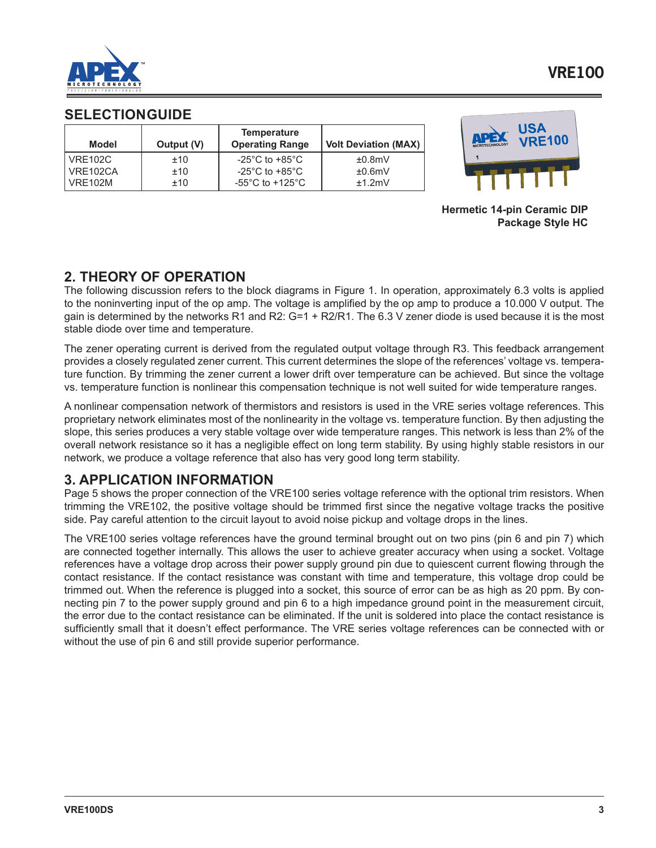

#### **SELECTION GUIDE**

| Model          | Output (V) | <b>Temperature</b><br><b>Operating Range</b> | <b>Volt Deviation (MAX)</b> |
|----------------|------------|----------------------------------------------|-----------------------------|
| <b>VRE102C</b> | ±10        | -25 $^{\circ}$ C to +85 $^{\circ}$ C         | ±0.8mV                      |
| VRE102CA       | ±10        | -25 $^{\circ}$ C to +85 $^{\circ}$ C         | ±0.6mV                      |
| <b>VRF102M</b> | ±10        | -55 $^{\circ}$ C to +125 $^{\circ}$ C        | $+1.2$ mV                   |



**Hermetic 14-pin Ceramic DIP Package Style HC**

### **2. THEORY OF OPERATION**

The following discussion refers to the block diagrams in Figure 1. In operation, approximately 6.3 volts is applied to the noninverting input of the op amp. The voltage is amplified by the op amp to produce a 10.000 V output. The gain is determined by the networks R1 and R2: G=1 + R2/R1. The 6.3 V zener diode is used because it is the most stable diode over time and temperature.

The zener operating current is derived from the regulated output voltage through R3. This feedback arrangement provides a closely regulated zener current. This current determines the slope of the references' voltage vs. temperature function. By trimming the zener current a lower drift over temperature can be achieved. But since the voltage vs. temperature function is nonlinear this compensation technique is not well suited for wide temperature ranges.

A nonlinear compensation network of thermistors and resistors is used in the VRE series voltage references. This proprietary network eliminates most of the nonlinearity in the voltage vs. temperature function. By then adjusting the slope, this series produces a very stable voltage over wide temperature ranges. This network is less than 2% of the overall network resistance so it has a negligible effect on long term stability. By using highly stable resistors in our network, we produce a voltage reference that also has very good long term stability.

## **3. APPLICATION INFORMATION**

Page 5 shows the proper connection of the VRE100 series voltage reference with the optional trim resistors. When trimming the VRE102, the positive voltage should be trimmed first since the negative voltage tracks the positive side. Pay careful attention to the circuit layout to avoid noise pickup and voltage drops in the lines.

The VRE100 series voltage references have the ground terminal brought out on two pins (pin 6 and pin 7) which are connected together internally. This allows the user to achieve greater accuracy when using a socket. Voltage references have a voltage drop across their power supply ground pin due to quiescent current flowing through the contact resistance. If the contact resistance was constant with time and temperature, this voltage drop could be trimmed out. When the reference is plugged into a socket, this source of error can be as high as 20 ppm. By connecting pin 7 to the power supply ground and pin 6 to a high impedance ground point in the measurement circuit, the error due to the contact resistance can be eliminated. If the unit is soldered into place the contact resistance is sufficiently small that it doesn't effect performance. The VRE series voltage references can be connected with or without the use of pin 6 and still provide superior performance.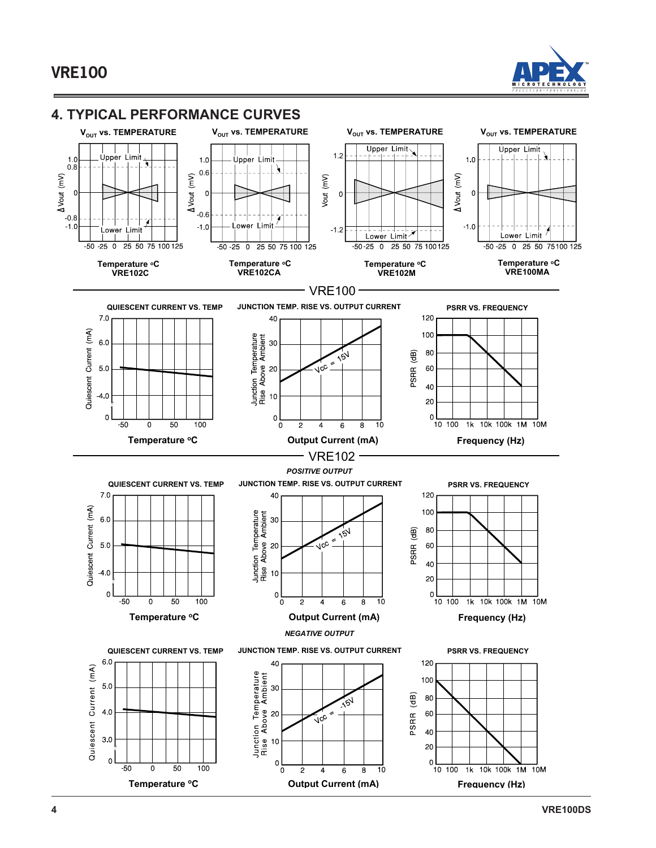